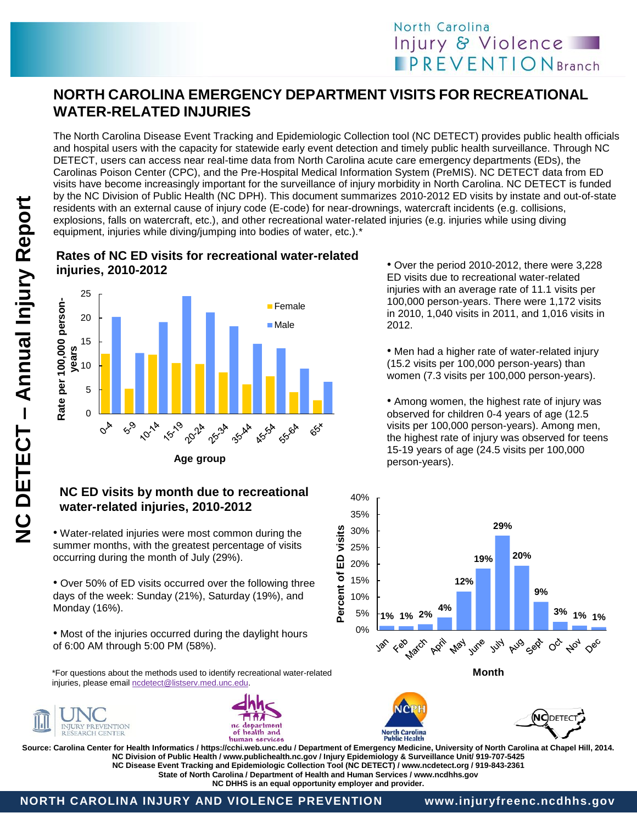## **NORTH CAROLINA EMERGENCY DEPARTMENT VISITS FOR RECREATIONAL WATER-RELATED INJURIES**

The North Carolina Disease Event Tracking and Epidemiologic Collection tool (NC DETECT) provides public health officials and hospital users with the capacity for statewide early event detection and timely public health surveillance. Through NC DETECT, users can access near real-time data from North Carolina acute care emergency departments (EDs), the Carolinas Poison Center (CPC), and the Pre-Hospital Medical Information System (PreMIS). NC DETECT data from ED visits have become increasingly important for the surveillance of injury morbidity in North Carolina. NC DETECT is funded by the NC Division of Public Health (NC DPH). This document summarizes 2010-2012 ED visits by instate and out-of-state residents with an external cause of injury code (E-code) for near-drownings, watercraft incidents (e.g. collisions, explosions, falls on watercraft, etc.), and other recreational water-related injuries (e.g. injuries while using diving equipment, injuries while diving/jumping into bodies of water, etc.).\*

## **Rates of NC ED visits for recreational water-related injuries, 2010-2012**



### **NC ED visits by month due to recreational water-related injuries, 2010-2012**

• Water-related injuries were most common during the summer months, with the greatest percentage of visits occurring during the month of July (29%).

• Over 50% of ED visits occurred over the following three days of the week: Sunday (21%), Saturday (19%), and Monday (16%).

• Most of the injuries occurred during the daylight hours of 6:00 AM through 5:00 PM (58%).

\*For questions about the methods used to identify recreational water-related injuries, please email [ncdetect@listserv.med.unc.edu.](mailto:ncdetect@listserv.med.unc.edu)





• Over the period 2010-2012, there were 3,228 ED visits due to recreational water-related injuries with an average rate of 11.1 visits per 100,000 person-years. There were 1,172 visits in 2010, 1,040 visits in 2011, and 1,016 visits in 2012.

• Men had a higher rate of water-related injury there were women (7.3 visits per 100,000 person-years). (15.2 visits per 100,000 person-years) than

• Among women, the highest rate of injury was observed for crilidren o-4 years or age (12.5<br>visits per 100,000 person-years). Among men, the highest rate of injury was observed for teens 15-19 years of age (24.5 visits per 100,000 of 4.4 observed for children 0-4 years of age (12.5 person-years).



ſΩ

North Carolina<br>Public Health

the national **Source: Carolina Center for Health Informatics / https://cchi.web.unc.edu / Department of Emergency Medicine, University of North Carolina at Chapel Hill, 2014.** rate of 5.8 **NC Disease Event Tracking and Epidemiologic Collection Tool (NC DETECT) / www.ncdetect.org / 919-843-2361** State of North Carolina / Department of Health and Human Services / www.ncdhhs.gov<br>NC DHHS is an equal ennortunity employer and provider **NC Division of Public Health / www.publichealth.nc.gov / Injury Epidemiology & Surveillance Unit/ 919-707-5425 NC DHHS is an equal opportunity employer and provider.**

(NC)DETEC